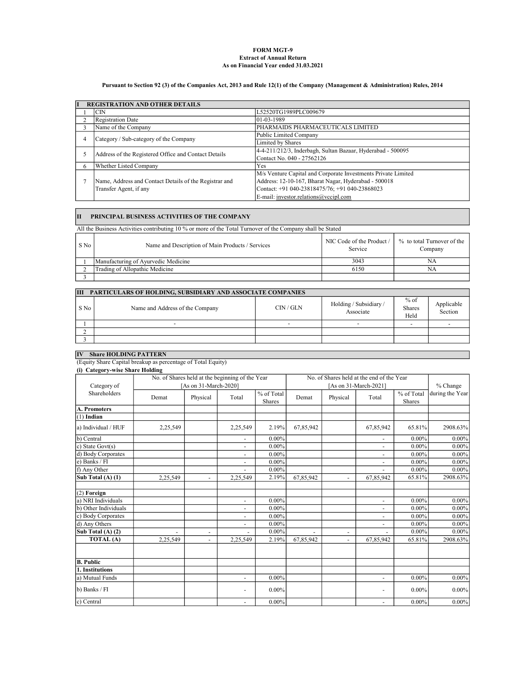### As on Financial Year ended 31.03.2021 Extract of Annual Return FORM MGT-9

## Pursuant to Section 92 (3) of the Companies Act, 2013 and Rule 12(1) of the Company (Management & Administration) Rules, 2014

|   | <b>REGISTRATION AND OTHER DETAILS</b>                  |                                                               |
|---|--------------------------------------------------------|---------------------------------------------------------------|
|   | СIN                                                    | L52520TG1989PLC009679                                         |
|   | Registration Date                                      | $ 01-03-1989$                                                 |
|   | Name of the Company                                    | PHARMAIDS PHARMACEUTICALS LIMITED                             |
|   | Category / Sub-category of the Company                 | Public Limited Company                                        |
|   |                                                        | <b>Limited by Shares</b>                                      |
|   | Address of the Registered Office and Contact Details   | 4-4-211/212/3, Inderbagh, Sultan Bazaar, Hyderabad - 500095   |
|   |                                                        | Contact No. 040 - 27562126                                    |
| 6 | Whether Listed Company                                 | Yes                                                           |
|   |                                                        | M/s Venture Capital and Corporate Investments Private Limited |
|   | Name, Address and Contact Details of the Registrar and | Address: 12-10-167, Bharat Nagar, Hyderabad - 500018          |
|   | Transfer Agent, if any                                 | Contact: +91 040-23818475/76; +91 040-23868023                |
|   |                                                        | E-mail: investor.relations@vccipl.com                         |

# II PRINCIPAL BUSINESS ACTIVITIES OF THE COMPANY

All the Business Activities contributing 10 % or more of the Total Turnover of the Company shall be Stated

| S No | Name and Description of Main Products / Services | Service | NIC Code of the Product $/ \sqrt{2}$ to total Turnover of the<br>Company |
|------|--------------------------------------------------|---------|--------------------------------------------------------------------------|
|      | Manufacturing of Ayurvedic Medicine              | 3043    |                                                                          |
|      | Trading of Allopathic Medicine                   | 6150    | NA                                                                       |
|      |                                                  |         |                                                                          |

| <b>III</b> | <b>PARTICULARS OF HOLDING, SUBSIDIARY AND ASSOCIATE COMPANIES</b> |           |                                     |                                 |                       |  |  |  |  |  |  |
|------------|-------------------------------------------------------------------|-----------|-------------------------------------|---------------------------------|-----------------------|--|--|--|--|--|--|
| S No       | Name and Address of the Company                                   | CIN / GLN | Holding / Subsidiary /<br>Associate | $%$ of<br><b>Shares</b><br>Held | Applicable<br>Section |  |  |  |  |  |  |
|            |                                                                   |           | -                                   |                                 |                       |  |  |  |  |  |  |
|            |                                                                   |           |                                     |                                 |                       |  |  |  |  |  |  |
|            |                                                                   |           |                                     |                                 |                       |  |  |  |  |  |  |

# IV Share HOLDING PATTERN

(Equity Share Capital breakup as percentage of Total Equity) (i) Category-wise Share Holding

| No. of Shares held at the beginning of the Year |          |                          |                          |                      |           | No. of Shares held at the end of the Year |                          |                             |                 |
|-------------------------------------------------|----------|--------------------------|--------------------------|----------------------|-----------|-------------------------------------------|--------------------------|-----------------------------|-----------------|
| Category of                                     |          | [As on 31-March-2020]    |                          |                      |           |                                           | [As on 31-March-2021]    |                             | % Change        |
| Shareholders                                    | Demat    | Physical                 | Total                    | % of Total<br>Shares | Demat     | Physical                                  | Total                    | % of Total<br><b>Shares</b> | during the Year |
| A. Promoters                                    |          |                          |                          |                      |           |                                           |                          |                             |                 |
| $(1)$ Indian                                    |          |                          |                          |                      |           |                                           |                          |                             |                 |
| a) Individual / HUF                             | 2,25,549 |                          | 2,25,549                 | 2.19%                | 67,85,942 |                                           | 67,85,942                | 65.81%                      | 2908.63%        |
| b) Central                                      |          |                          | $\sim$                   | $0.00\%$             |           |                                           | $\blacksquare$           | $0.00\%$                    | $0.00\%$        |
| c) State Govt $(s)$                             |          |                          | ÷,                       | $0.00\%$             |           |                                           | -                        | $0.00\%$                    | $0.00\%$        |
| d) Body Corporates                              |          |                          | $\blacksquare$           | $0.00\%$             |           |                                           | $\overline{\phantom{a}}$ | $0.00\%$                    | $0.00\%$        |
| e) Banks / FI                                   |          |                          | $\overline{a}$           | $0.00\%$             |           |                                           | -                        | $0.00\%$                    | $0.00\%$        |
| f) Any Other                                    |          |                          |                          | $0.00\%$             |           |                                           | $\blacksquare$           | $0.00\%$                    | $0.00\%$        |
| Sub Total (A) (1)                               | 2,25,549 | ٠                        | 2,25,549                 | 2.19%                | 67,85,942 |                                           | 67,85,942                | 65.81%                      | 2908.63%        |
| $(2)$ Foreign                                   |          |                          |                          |                      |           |                                           |                          |                             |                 |
| a) NRI Individuals                              |          |                          | $\blacksquare$           | $0.00\%$             |           |                                           | $\blacksquare$           | $0.00\%$                    | $0.00\%$        |
| b) Other Individuals                            |          |                          | $\blacksquare$           | $0.00\%$             |           |                                           | $\blacksquare$           | $0.00\%$                    | $0.00\%$        |
| c) Body Corporates                              |          |                          | $\blacksquare$           | $0.00\%$             |           |                                           | $\overline{\phantom{a}}$ | $0.00\%$                    | $0.00\%$        |
| d) Any Others                                   |          |                          | $\overline{\phantom{a}}$ | $0.00\%$             |           |                                           | $\blacksquare$           | $0.00\%$                    | $0.00\%$        |
| Sub Total $(A)$ $(2)$                           |          | $\overline{\phantom{a}}$ |                          | $0.00\%$             |           | $\overline{\phantom{a}}$                  |                          | $0.00\%$                    | $0.00\%$        |
| TOTAL (A)                                       | 2,25,549 |                          | 2,25,549                 | 2.19%                | 67,85,942 |                                           | 67,85,942                | 65.81%                      | 2908.63%        |
| <b>B.</b> Public                                |          |                          |                          |                      |           |                                           |                          |                             |                 |
| 1. Institutions                                 |          |                          |                          |                      |           |                                           |                          |                             |                 |
| a) Mutual Funds                                 |          |                          | $\blacksquare$           | $0.00\%$             |           |                                           | $\overline{\phantom{a}}$ | $0.00\%$                    | $0.00\%$        |
| b) Banks / FI                                   |          |                          | $\overline{\phantom{a}}$ | $0.00\%$             |           |                                           | -                        | $0.00\%$                    | $0.00\%$        |
| c) Central                                      |          |                          | $\blacksquare$           | $0.00\%$             |           |                                           | $\blacksquare$           | $0.00\%$                    | $0.00\%$        |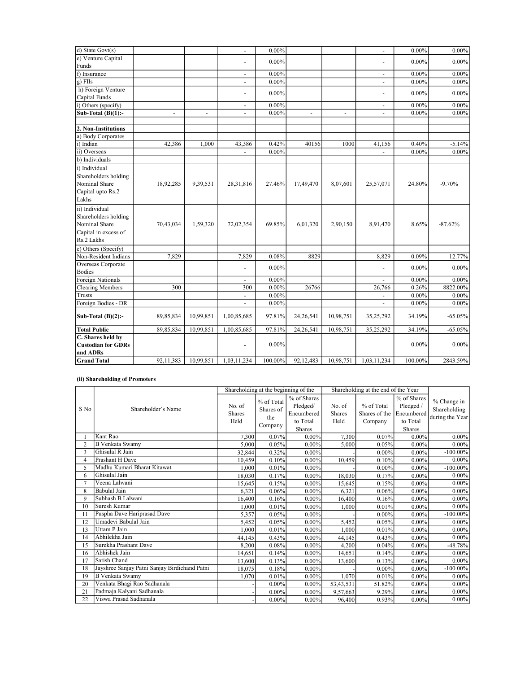| $d)$ State Govt $(s)$                                                                         |                          |                | ÷.                       | $0.00\%$ |                |                | ÷.                           | $0.00\%$ | $0.00\%$  |
|-----------------------------------------------------------------------------------------------|--------------------------|----------------|--------------------------|----------|----------------|----------------|------------------------------|----------|-----------|
| e) Venture Capital                                                                            |                          |                |                          |          |                |                |                              |          |           |
| Funds                                                                                         |                          |                | ÷,                       | $0.00\%$ |                |                |                              | $0.00\%$ | $0.00\%$  |
| f) Insurance                                                                                  |                          |                | $\blacksquare$           | $0.00\%$ |                |                | $\sim$                       | $0.00\%$ | $0.00\%$  |
| g) FIIs                                                                                       |                          |                | $\blacksquare$           | $0.00\%$ |                |                | $\blacksquare$               | $0.00\%$ | $0.00\%$  |
| h) Foreign Venture                                                                            |                          |                | $\overline{a}$           | $0.00\%$ |                |                | ÷.                           | $0.00\%$ | $0.00\%$  |
| Capital Funds                                                                                 |                          |                |                          |          |                |                |                              |          |           |
| i) Others (specify)                                                                           |                          |                | $\sim$                   | $0.00\%$ |                |                | $\blacksquare$               | $0.00\%$ | $0.00\%$  |
| Sub-Total $(B)(1)$ :-                                                                         | $\overline{\phantom{a}}$ | $\blacksquare$ | $\blacksquare$           | $0.00\%$ | $\blacksquare$ | $\blacksquare$ | $\blacksquare$               | $0.00\%$ | $0.00\%$  |
|                                                                                               |                          |                |                          |          |                |                |                              |          |           |
| 2. Non-Institutions                                                                           |                          |                |                          |          |                |                |                              |          |           |
| a) Body Corporates                                                                            |                          |                |                          |          |                |                |                              |          |           |
| i) Indian                                                                                     | 42,386                   | 1,000          | 43,386                   | 0.42%    | 40156          | 1000           | 41,156                       | 0.40%    | $-5.14%$  |
| ii) Overseas                                                                                  |                          |                |                          | $0.00\%$ |                |                |                              | $0.00\%$ | $0.00\%$  |
| b) Individuals                                                                                |                          |                |                          |          |                |                |                              |          |           |
| i) Individual<br>Shareholders holding<br>Nominal Share<br>Capital upto Rs.2<br>Lakhs          | 18,92,285                | 9,39,531       | 28,31,816                | 27.46%   | 17,49,470      | 8,07,601       | 25,57,071                    | 24.80%   | $-9.70%$  |
| ii) Individual<br>Shareholders holding<br>Nominal Share<br>Capital in excess of<br>Rs.2 Lakhs | 70,43,034                | 1,59,320       | 72,02,354                | 69.85%   | 6,01,320       | 2,90,150       | 8,91,470                     | 8.65%    | $-87.62%$ |
| c) Others (Specify)                                                                           |                          |                |                          |          |                |                |                              |          |           |
| Non-Resident Indians                                                                          | 7,829                    |                | 7,829                    | 0.08%    | 8829           |                | 8,829                        | 0.09%    | 12.77%    |
| Overseas Corporate                                                                            |                          |                | $\overline{a}$           | $0.00\%$ |                |                | $\overline{a}$               | $0.00\%$ | $0.00\%$  |
| <b>Bodies</b>                                                                                 |                          |                |                          |          |                |                |                              |          |           |
| Foreign Nationals                                                                             |                          |                | $\blacksquare$           | $0.00\%$ |                |                | ÷.                           | $0.00\%$ | $0.00\%$  |
| <b>Clearing Members</b>                                                                       | 300                      |                | 300                      | $0.00\%$ | 26766          |                | 26,766                       | 0.26%    | 8822.00%  |
| Trusts                                                                                        |                          |                | $\overline{\phantom{0}}$ | $0.00\%$ |                |                | $\qquad \qquad \blacksquare$ | $0.00\%$ | $0.00\%$  |
| Foreign Bodies - DR                                                                           |                          |                | $\overline{a}$           | $0.00\%$ |                |                | $\overline{a}$               | $0.00\%$ | $0.00\%$  |
| Sub-Total $(B)(2)$ :-                                                                         | 89,85,834                | 10,99,851      | 1,00,85,685              | 97.81%   | 24,26,541      | 10,98,751      | 35,25,292                    | 34.19%   | $-65.05%$ |
| <b>Total Public</b>                                                                           | 89,85,834                | 10,99,851      | 1,00,85,685              | 97.81%   | 24, 26, 541    | 10,98,751      | 35,25,292                    | 34.19%   | $-65.05%$ |
| C. Shares held by<br><b>Custodian for GDRs</b><br>and ADRs                                    |                          |                | $\overline{\phantom{a}}$ | $0.00\%$ |                |                |                              | $0.00\%$ | $0.00\%$  |
| <b>Grand Total</b>                                                                            |                          |                |                          |          |                |                |                              |          |           |

## (ii) Shareholding of Promoters

|                |                                               |                                 | Shareholding at the beginning of the      |                                                                    |                                 | Shareholding at the end of the Year    |                                                                     |                                                |
|----------------|-----------------------------------------------|---------------------------------|-------------------------------------------|--------------------------------------------------------------------|---------------------------------|----------------------------------------|---------------------------------------------------------------------|------------------------------------------------|
| S No           | Shareholder's Name                            | No. of<br><b>Shares</b><br>Held | % of Total<br>Shares of<br>the<br>Company | % of Shares<br>Pledged/<br>Encumbered<br>to Total<br><b>Shares</b> | No. of<br><b>Shares</b><br>Held | % of Total<br>Shares of the<br>Company | % of Shares<br>Pledged /<br>Encumbered<br>to Total<br><b>Shares</b> | % Change in<br>Shareholding<br>during the Year |
|                | Kant Rao                                      | 7.300                           | 0.07%                                     | $0.00\%$                                                           | 7,300                           | 0.07%                                  | $0.00\%$                                                            | $0.00\%$                                       |
| 2              | <b>B</b> Venkata Swamy                        | 5.000                           | 0.05%                                     | $0.00\%$                                                           | 5,000                           | 0.05%                                  | $0.00\%$                                                            | $0.00\%$                                       |
| 3              | Ghisulal R Jain                               | 32,844                          | 0.32%                                     | $0.00\%$                                                           |                                 | $0.00\%$                               | $0.00\%$                                                            | $-100.00\%$                                    |
| $\overline{4}$ | Prashant H Dave                               | 10.459                          | 0.10%                                     | $0.00\%$                                                           | 10,459                          | 0.10%                                  | $0.00\%$                                                            | $0.00\%$                                       |
| 5              | Madhu Kumari Bharat Kitawat                   | 1.000                           | 0.01%                                     | $0.00\%$                                                           |                                 | $0.00\%$                               | $0.00\%$                                                            | $-100.00\%$                                    |
| 6              | Ghisulal Jain                                 | 18,030                          | 0.17%                                     | $0.00\%$                                                           | 18,030                          | 0.17%                                  | $0.00\%$                                                            | $0.00\%$                                       |
|                | Veena Lalwani                                 | 15,645                          | 0.15%                                     | $0.00\%$                                                           | 15,645                          | 0.15%                                  | $0.00\%$                                                            | $0.00\%$                                       |
| 8              | <b>Babulal Jain</b>                           | 6,321                           | 0.06%                                     | $0.00\%$                                                           | 6,321                           | 0.06%                                  | $0.00\%$                                                            | $0.00\%$                                       |
| $\mathbf Q$    | Subhash B Lalwani                             | 16,400                          | 0.16%                                     | $0.00\%$                                                           | 16,400                          | 0.16%                                  | $0.00\%$                                                            | $0.00\%$                                       |
| 10             | Suresh Kumar                                  | 1.000                           | 0.01%                                     | $0.00\%$                                                           | 1,000                           | 0.01%                                  | $0.00\%$                                                            | $0.00\%$                                       |
| 11             | Puspha Dave Hariprasad Dave                   | 5,357                           | 0.05%                                     | $0.00\%$                                                           |                                 | $0.00\%$                               | $0.00\%$                                                            | $-100.00\%$                                    |
| 12             | Umadevi Babulal Jain                          | 5,452                           | 0.05%                                     | 0.00%                                                              | 5,452                           | 0.05%                                  | $0.00\%$                                                            | $0.00\%$                                       |
| 13             | Uttam P Jain                                  | 1.000                           | 0.01%                                     | $0.00\%$                                                           | 1.000                           | 0.01%                                  | $0.00\%$                                                            | $0.00\%$                                       |
| 14             | Abhilekha Jain                                | 44.145                          | 0.43%                                     | $0.00\%$                                                           | 44.145                          | 0.43%                                  | $0.00\%$                                                            | $0.00\%$                                       |
| 15             | Surekha Prashant Dave                         | 8,200                           | 0.08%                                     | $0.00\%$                                                           | 4.200                           | 0.04%                                  | $0.00\%$                                                            | -48.78%                                        |
| 16             | Abhishek Jain                                 | 14,651                          | 0.14%                                     | $0.00\%$                                                           | 14,651                          | 0.14%                                  | $0.00\%$                                                            | $0.00\%$                                       |
| 17             | Satish Chand                                  | 13,600                          | 0.13%                                     | $0.00\%$                                                           | 13,600                          | 0.13%                                  | $0.00\%$                                                            | $0.00\%$                                       |
| 18             | Jayshree Sanjay Patni Sanjay Birdichand Patni | 18,075                          | 0.18%                                     | $0.00\%$                                                           |                                 | $0.00\%$                               | $0.00\%$                                                            | $-100.00\%$                                    |
| 19             | <b>B</b> Venkata Swamy                        | 1.070                           | 0.01%                                     | $0.00\%$                                                           | 1.070                           | 0.01%                                  | $0.00\%$                                                            | $0.00\%$                                       |
| 20             | Venkata Bhagi Rao Sadhanala                   |                                 | $0.00\%$                                  | $0.00\%$                                                           | 53, 43, 531                     | 51.82%                                 | $0.00\%$                                                            | $0.00\%$                                       |
| 21             | Padmaja Kalyani Sadhanala                     |                                 | $0.00\%$                                  | 0.00%                                                              | 9,57,663                        | 9.29%                                  | $0.00\%$                                                            | $0.00\%$                                       |
| 22             | Viswa Prasad Sadhanala                        |                                 | $0.00\%$                                  | $0.00\%$                                                           | 96,400                          | 0.93%                                  | $0.00\%$                                                            | $0.00\%$                                       |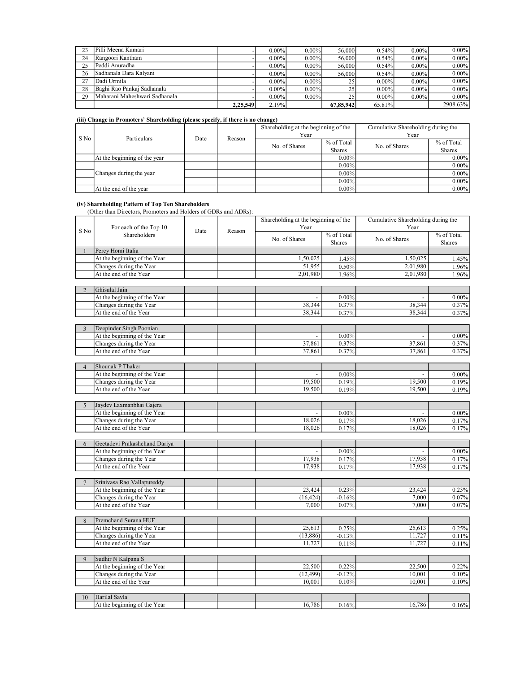| 23 | Pilli Meena Kumari            |          | $0.00\%$ | $0.00\%$ | 56,000    | 0.54%    | $0.00\%$ | $0.00\%$ |
|----|-------------------------------|----------|----------|----------|-----------|----------|----------|----------|
| 24 | Rangoori Kantham              |          | $0.00\%$ | $0.00\%$ | 56,000    | 0.54%    | $0.00\%$ | $0.00\%$ |
| 25 | Peddi Anuradha                |          | $0.00\%$ | $0.00\%$ | 56,000    | 0.54%    | $0.00\%$ | $0.00\%$ |
| 26 | Sadhanala Dara Kalvani        |          | $0.00\%$ | $0.00\%$ | 56,000    | 0.54%    | $0.00\%$ | $0.00\%$ |
| 27 | Dadi Urmila                   |          | $0.00\%$ | $0.00\%$ | 25        | $0.00\%$ | $0.00\%$ | $0.00\%$ |
| 28 | Baghi Rao Pankaj Sadhanala    |          | $0.00\%$ | $0.00\%$ | 25        | $0.00\%$ | $0.00\%$ | $0.00\%$ |
| 29 | Maharani Maheshwari Sadhanala |          | $0.00\%$ | $0.00\%$ | 25        | $0.00\%$ | $0.00\%$ | $0.00\%$ |
|    |                               | 2.25.549 | 2.19%    |          | 67.85.942 | 65.81%   |          | 2908.63% |

## (iii) Change in Promoters' Shareholding (please specify, if there is no change)

|      | Particulars                  | Date | Reason | Shareholding at the beginning of the |               | Cumulative Shareholding during the |               |
|------|------------------------------|------|--------|--------------------------------------|---------------|------------------------------------|---------------|
| S No |                              |      |        | Year                                 |               | Year                               |               |
|      |                              |      |        | No. of Shares                        | % of Total    | No. of Shares                      | % of Total    |
|      |                              |      |        |                                      | <b>Shares</b> |                                    | <b>Shares</b> |
|      | At the beginning of the year |      |        |                                      | $0.00\%$      |                                    | $0.00\%$      |
|      |                              |      |        |                                      | $0.00\%$      |                                    | $0.00\%$      |
|      | Changes during the year      |      |        |                                      | $0.00\%$      |                                    | $0.00\%$      |
|      |                              |      |        |                                      | $0.00\%$      |                                    | $0.00\%$      |
|      | At the end of the year       |      |        |                                      | $0.00\%$      |                                    | $0.00\%$      |

#### (iv) Shareholding Pattern of Top Ten Shareholders

(Other than Directors, Promoters and Holders of GDRs and ADRs):

|                |                               |      |        | Shareholding at the beginning of the |                             | Cumulative Shareholding during the |                      |
|----------------|-------------------------------|------|--------|--------------------------------------|-----------------------------|------------------------------------|----------------------|
| S No           | For each of the Top 10        | Date | Reason | Year                                 |                             | Year                               |                      |
|                | Shareholders                  |      |        | No. of Shares                        | % of Total<br><b>Shares</b> | No. of Shares                      | % of Total<br>Shares |
| $\mathbf{1}$   | Percy Homi Italia             |      |        |                                      |                             |                                    |                      |
|                | At the beginning of the Year  |      |        | 1,50,025                             | 1.45%                       | 1,50,025                           | 1.45%                |
|                | Changes during the Year       |      |        | 51,955                               | 0.50%                       | 2,01,980                           | 1.96%                |
|                | At the end of the Year        |      |        | 2,01,980                             | 1.96%                       | 2,01,980                           | 1.96%                |
|                |                               |      |        |                                      |                             |                                    |                      |
| $\overline{2}$ | Ghisulal Jain                 |      |        |                                      |                             |                                    |                      |
|                | At the beginning of the Year  |      |        |                                      | $0.00\%$                    |                                    | $0.00\%$             |
|                | Changes during the Year       |      |        | 38,344                               | 0.37%                       | 38,344                             | 0.37%                |
|                | At the end of the Year        |      |        | 38,344                               | 0.37%                       | 38,344                             | 0.37%                |
|                |                               |      |        |                                      |                             |                                    |                      |
| $\overline{3}$ | Deepinder Singh Poonian       |      |        |                                      |                             |                                    |                      |
|                | At the beginning of the Year  |      |        |                                      | $0.00\%$                    |                                    | $0.00\%$             |
|                | Changes during the Year       |      |        | 37,861                               | 0.37%                       | 37,861                             | 0.37%                |
|                | At the end of the Year        |      |        | 37,861                               | 0.37%                       | 37,861                             | 0.37%                |
|                |                               |      |        |                                      |                             |                                    |                      |
| $\overline{4}$ | Shounak P Thaker              |      |        |                                      |                             |                                    |                      |
|                | At the beginning of the Year  |      |        |                                      | $0.00\%$                    | $\overline{a}$                     | $0.00\%$             |
|                | Changes during the Year       |      |        | 19,500                               | 0.19%                       | 19,500                             | 0.19%                |
|                | At the end of the Year        |      |        | 19,500                               | 0.19%                       | 19,500                             | 0.19%                |
|                |                               |      |        |                                      |                             |                                    |                      |
| 5              | Jaydev Laxmanbhai Gajera      |      |        |                                      |                             |                                    |                      |
|                | At the beginning of the Year  |      |        |                                      | $0.00\%$                    |                                    | $0.00\%$             |
|                | Changes during the Year       |      |        | 18,026                               | 0.17%                       | 18,026                             | 0.17%                |
|                | At the end of the Year        |      |        | 18,026                               | 0.17%                       | 18,026                             | 0.17%                |
|                |                               |      |        |                                      |                             |                                    |                      |
| 6              | Geetadevi Prakashchand Dariya |      |        |                                      |                             |                                    |                      |
|                | At the beginning of the Year  |      |        |                                      | $0.00\%$                    |                                    | $0.00\%$             |
|                | Changes during the Year       |      |        | 17,938                               | 0.17%                       | 17,938                             | $0.17\%$             |
|                | At the end of the Year        |      |        | 17,938                               | 0.17%                       | 17,938                             | 0.17%                |
|                |                               |      |        |                                      |                             |                                    |                      |
| 7              | Srinivasa Rao Vallapureddy    |      |        |                                      |                             |                                    |                      |
|                | At the beginning of the Year  |      |        | 23,424                               | 0.23%                       | 23,424                             | 0.23%                |
|                | Changes during the Year       |      |        | (16, 424)                            | $-0.16%$                    | 7,000                              | 0.07%                |
|                | At the end of the Year        |      |        | 7,000                                | 0.07%                       | 7,000                              | 0.07%                |
|                |                               |      |        |                                      |                             |                                    |                      |
| 8              | Premchand Surana HUF          |      |        |                                      |                             |                                    |                      |
|                | At the beginning of the Year  |      |        | 25,613                               | 0.25%                       | 25,613                             | 0.25%                |
|                | Changes during the Year       |      |        | (13,886)                             | $-0.13%$                    | 11,727                             | 0.11%                |
|                | At the end of the Year        |      |        | 11,727                               | 0.11%                       | 11,727                             | 0.11%                |
|                |                               |      |        |                                      |                             |                                    |                      |
| $\mathbf{Q}$   | Sudhir N Kalpana S            |      |        |                                      |                             |                                    |                      |
|                | At the beginning of the Year  |      |        | 22,500                               | 0.22%                       | 22,500                             | 0.22%                |
|                | Changes during the Year       |      |        | (12, 499)                            | $-0.12%$                    | 10,001                             | 0.10%                |
|                | At the end of the Year        |      |        | 10,001                               | 0.10%                       | 10,001                             | 0.10%                |
|                |                               |      |        |                                      |                             |                                    |                      |
| 10             | Harilal Savla                 |      |        |                                      |                             |                                    |                      |
|                | At the beginning of the Year  |      |        | 16,786                               | 0.16%                       | 16,786                             | 0.16%                |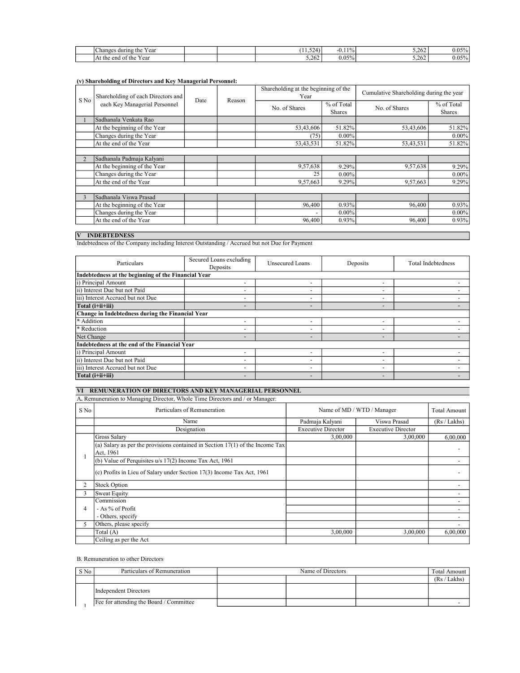| Y ear<br>Changes<br>during<br>the      |  | $\sim$ $\sim$<br>$\epsilon$<br>----- | 10/<br>$-U_{1,1}$<br>- 70 - | ገሬ<br>3.494 | 050/<br>v.v.                 |
|----------------------------------------|--|--------------------------------------|-----------------------------|-------------|------------------------------|
| At<br>end<br>Y ear<br>the<br>the<br>ി. |  | 5.262                                | $0.05\%$                    | ، ن ک       | $\sim$ $\sim$ $\sim$<br>v.v. |

# (v) Shareholding of Directors and Key Managerial Personnel:

| S No | Shareholding of each Directors and | Date | Reason | Shareholding at the beginning of the<br>Year |                             | Cumulative Shareholding during the year |                             |
|------|------------------------------------|------|--------|----------------------------------------------|-----------------------------|-----------------------------------------|-----------------------------|
|      | each Key Managerial Personnel      |      |        | No. of Shares                                | % of Total<br><b>Shares</b> | No. of Shares                           | % of Total<br><b>Shares</b> |
|      | Sadhanala Venkata Rao              |      |        |                                              |                             |                                         |                             |
|      | At the beginning of the Year       |      |        | 53,43,606                                    | 51.82%                      | 53,43,606                               | 51.82%                      |
|      | Changes during the Year            |      |        | (75)                                         | $0.00\%$                    |                                         | $0.00\%$                    |
|      | At the end of the Year             |      |        | 53,43,531                                    | 51.82%                      | 53,43,531                               | 51.82%                      |
|      |                                    |      |        |                                              |                             |                                         |                             |
|      | Sadhanala Padmaja Kalyani          |      |        |                                              |                             |                                         |                             |
|      | At the beginning of the Year       |      |        | 9,57,638                                     | 9.29%                       | 9,57,638                                | 9.29%                       |
|      | Changes during the Year            |      |        | 25                                           | $0.00\%$                    |                                         | $0.00\%$                    |
|      | At the end of the Year             |      |        | 9,57,663                                     | 9.29%                       | 9,57,663                                | 9.29%                       |
|      |                                    |      |        |                                              |                             |                                         |                             |
|      | Sadhanala Viswa Prasad             |      |        |                                              |                             |                                         |                             |
|      | At the beginning of the Year       |      |        | 96,400                                       | 0.93%                       | 96,400                                  | 0.93%                       |
|      | Changes during the Year            |      |        |                                              | $0.00\%$                    |                                         | $0.00\%$                    |
|      | At the end of the Year             |      |        | 96,400                                       | 0.93%                       | 96,400                                  | 0.93%                       |
|      |                                    |      |        |                                              |                             |                                         |                             |

#### V INDEBTEDNESS

Indebtedness of the Company including Interest Outstanding / Accrued but not Due for Payment

| Particulars                                         | Secured Loans excluding<br>Deposits | Unsecured Loans          | Deposits                 | Total Indebtedness |  |  |  |  |  |
|-----------------------------------------------------|-------------------------------------|--------------------------|--------------------------|--------------------|--|--|--|--|--|
| Indebtedness at the beginning of the Financial Year |                                     |                          |                          |                    |  |  |  |  |  |
| i) Principal Amount                                 | $\overline{\phantom{a}}$            |                          | $\overline{\phantom{0}}$ |                    |  |  |  |  |  |
| ii) Interest Due but not Paid                       | $\overline{\phantom{a}}$            | $\overline{\phantom{0}}$ | $\overline{\phantom{0}}$ |                    |  |  |  |  |  |
| iii) Interest Accrued but not Due                   | $\overline{\phantom{a}}$            |                          | $\overline{\phantom{a}}$ |                    |  |  |  |  |  |
| Total (i+ii+iii)                                    | $\qquad \qquad$                     |                          | -                        |                    |  |  |  |  |  |
| Change in Indebtedness during the Financial Year    |                                     |                          |                          |                    |  |  |  |  |  |
| * Addition                                          | $\overline{\phantom{0}}$            |                          | $\overline{\phantom{0}}$ |                    |  |  |  |  |  |
| * Reduction                                         | $\overline{\phantom{a}}$            | $\overline{\phantom{a}}$ | $\overline{\phantom{a}}$ |                    |  |  |  |  |  |
| Net Change                                          | $\overline{\phantom{a}}$            | $\overline{\phantom{a}}$ | $\qquad \qquad$          |                    |  |  |  |  |  |
| Indebtedness at the end of the Financial Year       |                                     |                          |                          |                    |  |  |  |  |  |
| i) Principal Amount                                 | $\overline{\phantom{0}}$            | $\overline{\phantom{0}}$ | $\overline{\phantom{0}}$ |                    |  |  |  |  |  |
| ii) Interest Due but not Paid                       | $\overline{\phantom{0}}$            | ۰                        | $\overline{\phantom{0}}$ |                    |  |  |  |  |  |
| iii) Interest Accrued but not Due                   | $\overline{\phantom{a}}$            |                          | $\overline{\phantom{a}}$ |                    |  |  |  |  |  |
| Total (i+ii+iii)                                    | $\overline{\phantom{a}}$            | $\overline{\phantom{a}}$ | $\qquad \qquad$          |                    |  |  |  |  |  |

#### VI REMUNERATION OF DIRECTORS AND KEY MANAGERIAL PERSONNEL

#### A. Remuneration to Managing Director, Whole Time Directors and / or Manager:

| S No | Particulars of Remuneration                                                   | Name of MD / WTD / Manager |                           | <b>Total Amount</b> |
|------|-------------------------------------------------------------------------------|----------------------------|---------------------------|---------------------|
|      | Name                                                                          | Padmaja Kalyani            | Viswa Prasad              | (Rs / Lakhs)        |
|      | Designation                                                                   | <b>Executive Director</b>  | <b>Executive Director</b> |                     |
|      | Gross Salary                                                                  | 3,00,000                   | 3,00,000                  | 6,00,000            |
|      | (a) Salary as per the provisions contained in Section 17(1) of the Income Tax |                            |                           |                     |
|      | Act, 1961                                                                     |                            |                           |                     |
|      | (b) Value of Perquisites $u/s$ 17(2) Income Tax Act, 1961                     |                            |                           |                     |
|      | (c) Profits in Lieu of Salary under Section $17(3)$ Income Tax Act, 1961      |                            |                           |                     |
| 2    | <b>Stock Option</b>                                                           |                            |                           |                     |
| 3    | Sweat Equity                                                                  |                            |                           |                     |
| 4    | Commission                                                                    |                            |                           |                     |
|      | $-$ As $\%$ of Profit                                                         |                            |                           |                     |
|      | - Others, specify                                                             |                            |                           |                     |
| 5    | Others, please specify                                                        |                            |                           |                     |
|      | Total (A)                                                                     | 3,00,000                   | 3,00,000                  | 6,00,000            |
|      | Ceiling as per the Act                                                        |                            |                           |                     |

## B. Remuneration to other Directors

| $S$ No | Particulars of Remuneration             | Name of Directors |  |  | Total Amount |
|--------|-----------------------------------------|-------------------|--|--|--------------|
|        |                                         |                   |  |  | (Rs / Lakhs) |
|        | Independent Directors                   |                   |  |  |              |
|        | Fee for attending the Board / Committee |                   |  |  |              |